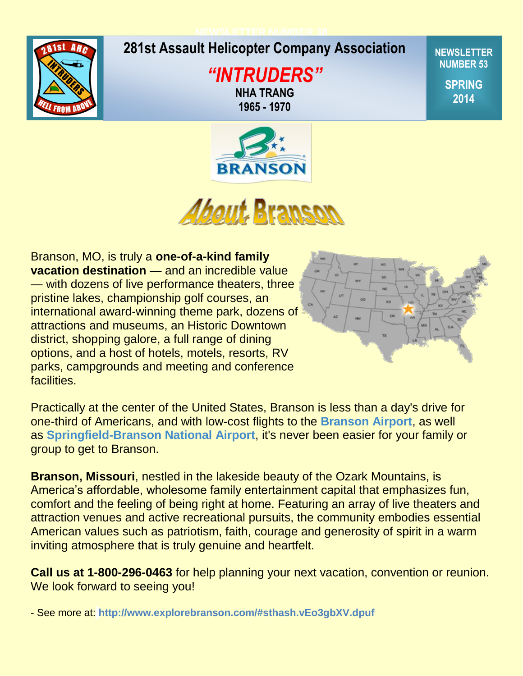## **NEWSLETTER NUMBER 38**



# **Spring 2009 281st Assault Helicopter Company Association**

*"INTRUDERS"* **NHA TRANG 1965 - 1970**

**NEWSLETTER NUMBER 53**

> **SPRING 2014**





Branson, MO, is truly a **one-of-a-kind family vacation destination** — and an incredible value — with dozens of live performance theaters, three pristine lakes, championship golf courses, an international award-winning theme park, dozens of attractions and museums, an Historic Downtown district, shopping galore, a full range of dining options, and a host of hotels, motels, resorts, RV parks, campgrounds and meeting and conference facilities.



Practically at the center of the United States, Branson is less than a day's drive for one-third of Americans, and with low-cost flights to the **[Branson Airport](http://www.explorebranson.com/about/flying)**, as well as **[Springfield-Branson National Airport](http://www.explorebranson.com/about/flying)**, it's never been easier for your family or group to get to Branson.

**Branson, Missouri**, nestled in the lakeside beauty of the Ozark Mountains, is America's affordable, wholesome family entertainment capital that emphasizes fun, comfort and the feeling of being right at home. Featuring an array of live theaters and attraction venues and active recreational pursuits, the community embodies essential American values such as patriotism, faith, courage and generosity of spirit in a warm inviting atmosphere that is truly genuine and heartfelt.

**Call us at 1-800-296-0463** for help planning your next vacation, convention or reunion. We look forward to seeing you!

- See more at: **<http://www.explorebranson.com/#sthash.vEo3gbXV.dpuf>**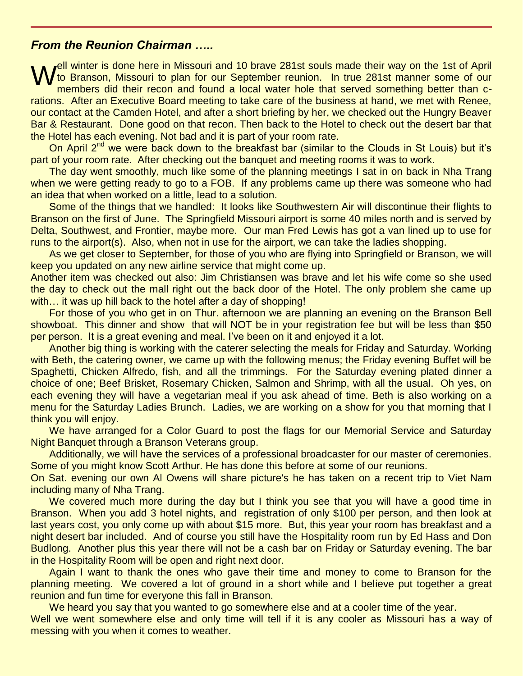# *From the Reunion Chairman …..*

Well winter is done here in Missouri and 10 brave 281st souls made their way on the 1st of April<br>M to Branson, Missouri to plan for our September reunion. In true 281st manner some of our<br>members did their recon and found to Branson, Missouri to plan for our September reunion. In true 281st manner some of our members did their recon and found a local water hole that served something better than crations. After an Executive Board meeting to take care of the business at hand, we met with Renee, our contact at the Camden Hotel, and after a short briefing by her, we checked out the Hungry Beaver Bar & Restaurant. Done good on that recon. Then back to the Hotel to check out the desert bar that the Hotel has each evening. Not bad and it is part of your room rate.

On April  $2^{nd}$  we were back down to the breakfast bar (similar to the Clouds in St Louis) but it's part of your room rate. After checking out the banquet and meeting rooms it was to work.

The day went smoothly, much like some of the planning meetings I sat in on back in Nha Trang when we were getting ready to go to a FOB. If any problems came up there was someone who had an idea that when worked on a little, lead to a solution.

Some of the things that we handled: It looks like Southwestern Air will discontinue their flights to Branson on the first of June. The Springfield Missouri airport is some 40 miles north and is served by Delta, Southwest, and Frontier, maybe more. Our man Fred Lewis has got a van lined up to use for runs to the airport(s). Also, when not in use for the airport, we can take the ladies shopping.

As we get closer to September, for those of you who are flying into Springfield or Branson, we will keep you updated on any new airline service that might come up.

Another item was checked out also: Jim Christiansen was brave and let his wife come so she used the day to check out the mall right out the back door of the Hotel. The only problem she came up with... it was up hill back to the hotel after a day of shopping!

For those of you who get in on Thur. afternoon we are planning an evening on the Branson Bell showboat. This dinner and show that will NOT be in your registration fee but will be less than \$50 per person. It is a great evening and meal. I've been on it and enjoyed it a lot.

Another big thing is working with the caterer selecting the meals for Friday and Saturday. Working with Beth, the catering owner, we came up with the following menus; the Friday evening Buffet will be Spaghetti, Chicken Alfredo, fish, and all the trimmings. For the Saturday evening plated dinner a choice of one; Beef Brisket, Rosemary Chicken, Salmon and Shrimp, with all the usual. Oh yes, on each evening they will have a vegetarian meal if you ask ahead of time. Beth is also working on a menu for the Saturday Ladies Brunch. Ladies, we are working on a show for you that morning that I think you will enjoy.

We have arranged for a Color Guard to post the flags for our Memorial Service and Saturday Night Banquet through a Branson Veterans group.

Additionally, we will have the services of a professional broadcaster for our master of ceremonies. Some of you might know Scott Arthur. He has done this before at some of our reunions.

On Sat. evening our own Al Owens will share picture's he has taken on a recent trip to Viet Nam including many of Nha Trang.

We covered much more during the day but I think you see that you will have a good time in Branson. When you add 3 hotel nights, and registration of only \$100 per person, and then look at last years cost, you only come up with about \$15 more. But, this year your room has breakfast and a night desert bar included. And of course you still have the Hospitality room run by Ed Hass and Don Budlong. Another plus this year there will not be a cash bar on Friday or Saturday evening. The bar in the Hospitality Room will be open and right next door.

Again I want to thank the ones who gave their time and money to come to Branson for the planning meeting. We covered a lot of ground in a short while and I believe put together a great reunion and fun time for everyone this fall in Branson.

We heard you say that you wanted to go somewhere else and at a cooler time of the year. Well we went somewhere else and only time will tell if it is any cooler as Missouri has a way of messing with you when it comes to weather.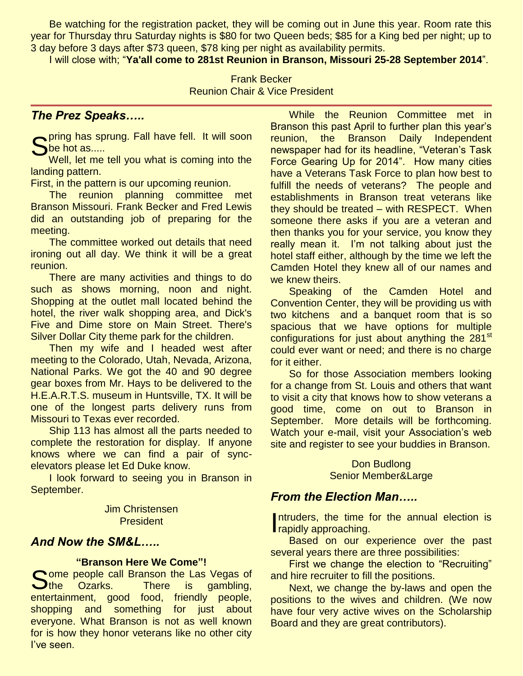Be watching for the registration packet, they will be coming out in June this year. Room rate this year for Thursday thru Saturday nights is \$80 for two Queen beds; \$85 for a King bed per night; up to 3 day before 3 days after \$73 queen, \$78 king per night as availability permits.

I will close with; "**Ya'all come to 281st Reunion in Branson, Missouri 25-28 September 2014**".

Frank Becker Reunion Chair & Vice President

# *The Prez Speaks…..*

Spring has sprung. Fall have fell. It will soon<br>She hot as.....<br>Well, let me tell you what is coming into the be hot as.....

Well, let me tell you what is coming into the landing pattern.

First, in the pattern is our upcoming reunion.

The reunion planning committee met Branson Missouri. Frank Becker and Fred Lewis did an outstanding job of preparing for the meeting.

The committee worked out details that need ironing out all day. We think it will be a great reunion.

There are many activities and things to do such as shows morning, noon and night. Shopping at the outlet mall located behind the hotel, the river walk shopping area, and Dick's Five and Dime store on Main Street. There's Silver Dollar City theme park for the children.

Then my wife and I headed west after meeting to the Colorado, Utah, Nevada, Arizona, National Parks. We got the 40 and 90 degree gear boxes from Mr. Hays to be delivered to the H.E.A.R.T.S. museum in Huntsville, TX. It will be one of the longest parts delivery runs from Missouri to Texas ever recorded.

Ship 113 has almost all the parts needed to complete the restoration for display. If anyone knows where we can find a pair of syncelevators please let Ed Duke know.

I look forward to seeing you in Branson in September.

> Jim Christensen **President**

# *And Now the SM&L…..*

## **"Branson Here We Come"!**

Some people call Branson the Las Vegas of<br>
Sthe Ozarks. There is gambling, Uthe Ozarks. There is gambling, entertainment, good food, friendly people, shopping and something for just about everyone. What Branson is not as well known for is how they honor veterans like no other city I've seen.

While the Reunion Committee met in Branson this past April to further plan this year's reunion, the Branson Daily Independent newspaper had for its headline, "Veteran's Task Force Gearing Up for 2014". How many cities have a Veterans Task Force to plan how best to fulfill the needs of veterans? The people and establishments in Branson treat veterans like they should be treated – with RESPECT. When someone there asks if you are a veteran and then thanks you for your service, you know they really mean it. I'm not talking about just the hotel staff either, although by the time we left the Camden Hotel they knew all of our names and we knew theirs.

Speaking of the Camden Hotel and Convention Center, they will be providing us with two kitchens and a banquet room that is so spacious that we have options for multiple configurations for just about anything the 281<sup>st</sup> could ever want or need; and there is no charge for it either.

So for those Association members looking for a change from St. Louis and others that want to visit a city that knows how to show veterans a good time, come on out to Branson in September. More details will be forthcoming. Watch your e-mail, visit your Association's web site and register to see your buddies in Branson.

> Don Budlong Senior Member&Large

# *From the Election Man…..*

Intruders, the time for the annual election is Intruders, the time for<br>
rapidly approaching.

Based on our experience over the past several years there are three possibilities:

First we change the election to "Recruiting" and hire recruiter to fill the positions.

Next, we change the by-laws and open the positions to the wives and children. (We now have four very active wives on the Scholarship Board and they are great contributors).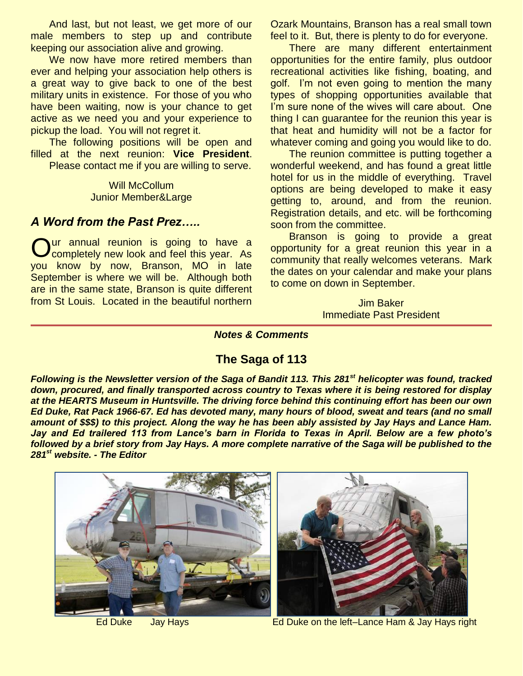And last, but not least, we get more of our male members to step up and contribute keeping our association alive and growing.

We now have more retired members than ever and helping your association help others is a great way to give back to one of the best military units in existence. For those of you who have been waiting, now is your chance to get active as we need you and your experience to pickup the load. You will not regret it.

The following positions will be open and filled at the next reunion: **Vice President**. Please contact me if you are willing to serve.

> Will McCollum Junior Member&Large

## *A Word from the Past Prez…..*

ur annual reunion is going to have a Our annual reunion is going to have a completely new look and feel this year. As you know by now, Branson, MO in late September is where we will be. Although both are in the same state, Branson is quite different from St Louis. Located in the beautiful northern

Ozark Mountains, Branson has a real small town feel to it. But, there is plenty to do for everyone.

There are many different entertainment opportunities for the entire family, plus outdoor recreational activities like fishing, boating, and golf. I'm not even going to mention the many types of shopping opportunities available that I'm sure none of the wives will care about. One thing I can guarantee for the reunion this year is that heat and humidity will not be a factor for whatever coming and going you would like to do.

The reunion committee is putting together a wonderful weekend, and has found a great little hotel for us in the middle of everything. Travel options are being developed to make it easy getting to, around, and from the reunion. Registration details, and etc. will be forthcoming soon from the committee.

Branson is going to provide a great opportunity for a great reunion this year in a community that really welcomes veterans. Mark the dates on your calendar and make your plans to come on down in September.

> Jim Baker Immediate Past President

## *Notes & Comments*

# **The Saga of 113**

*Following is the Newsletter version of the Saga of Bandit 113. This 281st helicopter was found, tracked down, procured, and finally transported across country to Texas where it is being restored for display at the HEARTS Museum in Huntsville. The driving force behind this continuing effort has been our own Ed Duke, Rat Pack 1966-67. Ed has devoted many, many hours of blood, sweat and tears (and no small amount of \$\$\$) to this project. Along the way he has been ably assisted by Jay Hays and Lance Ham. Jay and Ed trailered 113 from Lance's barn in Florida to Texas in April. Below are a few photo's followed by a brief story from Jay Hays. A more complete narrative of the Saga will be published to the 281st website. - The Editor*





Ed Duke Jay Hays **Ed Duke on the left–Lance Ham & Jay Hays right**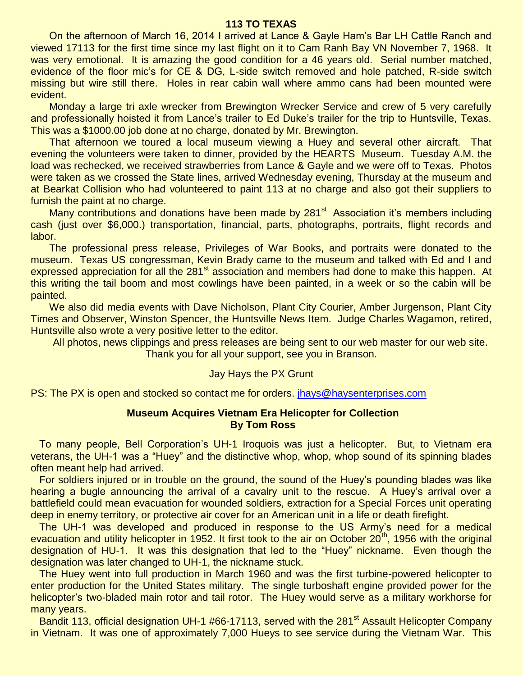### **113 TO TEXAS**

On the afternoon of March 16, 2014 I arrived at Lance & Gayle Ham's Bar LH Cattle Ranch and viewed 17113 for the first time since my last flight on it to Cam Ranh Bay VN November 7, 1968. It was very emotional. It is amazing the good condition for a 46 years old. Serial number matched, evidence of the floor mic's for CE & DG, L-side switch removed and hole patched, R-side switch missing but wire still there. Holes in rear cabin wall where ammo cans had been mounted were evident.

Monday a large tri axle wrecker from Brewington Wrecker Service and crew of 5 very carefully and professionally hoisted it from Lance's trailer to Ed Duke's trailer for the trip to Huntsville, Texas. This was a \$1000.00 job done at no charge, donated by Mr. Brewington.

That afternoon we toured a local museum viewing a Huey and several other aircraft. That evening the volunteers were taken to dinner, provided by the HEARTS Museum. Tuesday A.M. the load was rechecked, we received strawberries from Lance & Gayle and we were off to Texas. Photos were taken as we crossed the State lines, arrived Wednesday evening, Thursday at the museum and at Bearkat Collision who had volunteered to paint 113 at no charge and also got their suppliers to furnish the paint at no charge.

Many contributions and donations have been made by  $281<sup>st</sup>$  Association it's members including cash (just over \$6,000.) transportation, financial, parts, photographs, portraits, flight records and labor.

The professional press release, Privileges of War Books, and portraits were donated to the museum. Texas US congressman, Kevin Brady came to the museum and talked with Ed and I and expressed appreciation for all the 281<sup>st</sup> association and members had done to make this happen. At this writing the tail boom and most cowlings have been painted, in a week or so the cabin will be painted.

We also did media events with Dave Nicholson, Plant City Courier, Amber Jurgenson, Plant City Times and Observer, Winston Spencer, the Huntsville News Item. Judge Charles Wagamon, retired, Huntsville also wrote a very positive letter to the editor.

All photos, news clippings and press releases are being sent to our web master for our web site. Thank you for all your support, see you in Branson.

#### Jay Hays the PX Grunt

PS: The PX is open and stocked so contact me for orders. [jhays@haysenterprises.com](mailto:jhays@haysenterprises.com)

#### **Museum Acquires Vietnam Era Helicopter for Collection By Tom Ross**

 To many people, Bell Corporation's UH-1 Iroquois was just a helicopter. But, to Vietnam era veterans, the UH-1 was a "Huey" and the distinctive whop, whop, whop sound of its spinning blades often meant help had arrived.

 For soldiers injured or in trouble on the ground, the sound of the Huey's pounding blades was like hearing a bugle announcing the arrival of a cavalry unit to the rescue. A Huey's arrival over a battlefield could mean evacuation for wounded soldiers, extraction for a Special Forces unit operating deep in enemy territory, or protective air cover for an American unit in a life or death firefight.

 The UH-1 was developed and produced in response to the US Army's need for a medical evacuation and utility helicopter in 1952. It first took to the air on October 20<sup>th</sup>, 1956 with the original designation of HU-1. It was this designation that led to the "Huey" nickname. Even though the designation was later changed to UH-1, the nickname stuck.

 The Huey went into full production in March 1960 and was the first turbine-powered helicopter to enter production for the United States military. The single turboshaft engine provided power for the helicopter's two-bladed main rotor and tail rotor. The Huey would serve as a military workhorse for many years.

Bandit 113, official designation UH-1 #66-17113, served with the 281<sup>st</sup> Assault Helicopter Company in Vietnam. It was one of approximately 7,000 Hueys to see service during the Vietnam War. This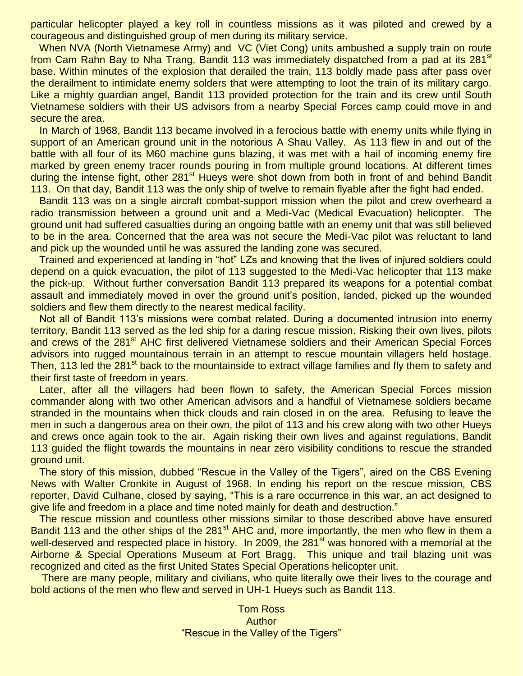particular helicopter played a key roll in countless missions as it was piloted and crewed by a courageous and distinguished group of men during its military service.

When NVA (North Vietnamese Army) and VC (Viet Cong) units ambushed a supply train on route from Cam Rahn Bay to Nha Trang, Bandit 113 was immediately dispatched from a pad at its 281<sup>st</sup> base. Within minutes of the explosion that derailed the train, 113 boldly made pass after pass over the derailment to intimidate enemy solders that were attempting to loot the train of its military cargo. Like a mighty guardian angel, Bandit 113 provided protection for the train and its crew until South Vietnamese soldiers with their US advisors from a nearby Special Forces camp could move in and secure the area.

 In March of 1968, Bandit 113 became involved in a ferocious battle with enemy units while flying in support of an American ground unit in the notorious A Shau Valley. As 113 flew in and out of the battle with all four of its M60 machine guns blazing, it was met with a hail of incoming enemy fire marked by green enemy tracer rounds pouring in from multiple ground locations. At different times during the intense fight, other 281<sup>st</sup> Hueys were shot down from both in front of and behind Bandit 113. On that day, Bandit 113 was the only ship of twelve to remain flyable after the fight had ended.

 Bandit 113 was on a single aircraft combat-support mission when the pilot and crew overheard a radio transmission between a ground unit and a Medi-Vac (Medical Evacuation) helicopter. The ground unit had suffered casualties during an ongoing battle with an enemy unit that was still believed to be in the area. Concerned that the area was not secure the Medi-Vac pilot was reluctant to land and pick up the wounded until he was assured the landing zone was secured.

 Trained and experienced at landing in "hot" LZs and knowing that the lives of injured soldiers could depend on a quick evacuation, the pilot of 113 suggested to the Medi-Vac helicopter that 113 make the pick-up. Without further conversation Bandit 113 prepared its weapons for a potential combat assault and immediately moved in over the ground unit's position, landed, picked up the wounded soldiers and flew them directly to the nearest medical facility.

 Not all of Bandit 113's missions were combat related. During a documented intrusion into enemy territory, Bandit 113 served as the led ship for a daring rescue mission. Risking their own lives, pilots and crews of the 281<sup>st</sup> AHC first delivered Vietnamese soldiers and their American Special Forces advisors into rugged mountainous terrain in an attempt to rescue mountain villagers held hostage. Then, 113 led the 281<sup>st</sup> back to the mountainside to extract village families and fly them to safety and their first taste of freedom in years.

 Later, after all the villagers had been flown to safety, the American Special Forces mission commander along with two other American advisors and a handful of Vietnamese soldiers became stranded in the mountains when thick clouds and rain closed in on the area. Refusing to leave the men in such a dangerous area on their own, the pilot of 113 and his crew along with two other Hueys and crews once again took to the air. Again risking their own lives and against regulations, Bandit 113 guided the flight towards the mountains in near zero visibility conditions to rescue the stranded ground unit.

 The story of this mission, dubbed "Rescue in the Valley of the Tigers", aired on the CBS Evening News with Walter Cronkite in August of 1968. In ending his report on the rescue mission, CBS reporter, David Culhane, closed by saying, "This is a rare occurrence in this war, an act designed to give life and freedom in a place and time noted mainly for death and destruction."

 The rescue mission and countless other missions similar to those described above have ensured Bandit 113 and the other ships of the 281<sup>st</sup> AHC and, more importantly, the men who flew in them a well-deserved and respected place in history. In 2009, the 281<sup>st</sup> was honored with a memorial at the Airborne & Special Operations Museum at Fort Bragg. This unique and trail blazing unit was recognized and cited as the first United States Special Operations helicopter unit.

 There are many people, military and civilians, who quite literally owe their lives to the courage and bold actions of the men who flew and served in UH-1 Hueys such as Bandit 113.

> Tom Ross Author "Rescue in the Valley of the Tigers"